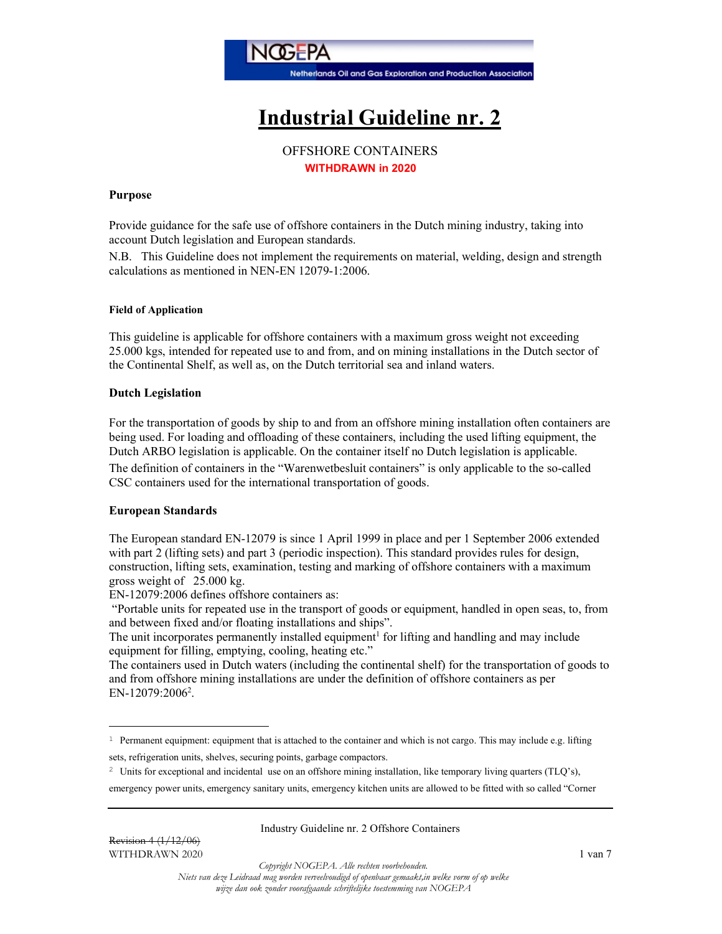

# Industrial Guideline nr. 2

# OFFSHORE CONTAINERS WITHDRAWN in 2020

#### Purpose

Provide guidance for the safe use of offshore containers in the Dutch mining industry, taking into account Dutch legislation and European standards.

N.B. This Guideline does not implement the requirements on material, welding, design and strength calculations as mentioned in NEN-EN 12079-1:2006.

#### Field of Application

This guideline is applicable for offshore containers with a maximum gross weight not exceeding 25.000 kgs, intended for repeated use to and from, and on mining installations in the Dutch sector of the Continental Shelf, as well as, on the Dutch territorial sea and inland waters.

#### Dutch Legislation

For the transportation of goods by ship to and from an offshore mining installation often containers are being used. For loading and offloading of these containers, including the used lifting equipment, the Dutch ARBO legislation is applicable. On the container itself no Dutch legislation is applicable. The definition of containers in the "Warenwetbesluit containers" is only applicable to the so-called CSC containers used for the international transportation of goods.

#### European Standards

The European standard EN-12079 is since 1 April 1999 in place and per 1 September 2006 extended with part 2 (lifting sets) and part 3 (periodic inspection). This standard provides rules for design, construction, lifting sets, examination, testing and marking of offshore containers with a maximum gross weight of 25.000 kg.

EN-12079:2006 defines offshore containers as:

 "Portable units for repeated use in the transport of goods or equipment, handled in open seas, to, from and between fixed and/or floating installations and ships".

The unit incorporates permanently installed equipment<sup>1</sup> for lifting and handling and may include equipment for filling, emptying, cooling, heating etc."

The containers used in Dutch waters (including the continental shelf) for the transportation of goods to and from offshore mining installations are under the definition of offshore containers as per EN-12079:2006<sup>2</sup>.

<sup>2</sup> Units for exceptional and incidental use on an offshore mining installation, like temporary living quarters (TLQ's),

emergency power units, emergency sanitary units, emergency kitchen units are allowed to be fitted with so called "Corner

#### Industry Guideline nr. 2 Offshore Containers

Copyright NOGEPA. Alle rechten voorbehouden.

<sup>&</sup>lt;sup>1</sup> Permanent equipment: equipment that is attached to the container and which is not cargo. This may include e.g. lifting sets, refrigeration units, shelves, securing points, garbage compactors.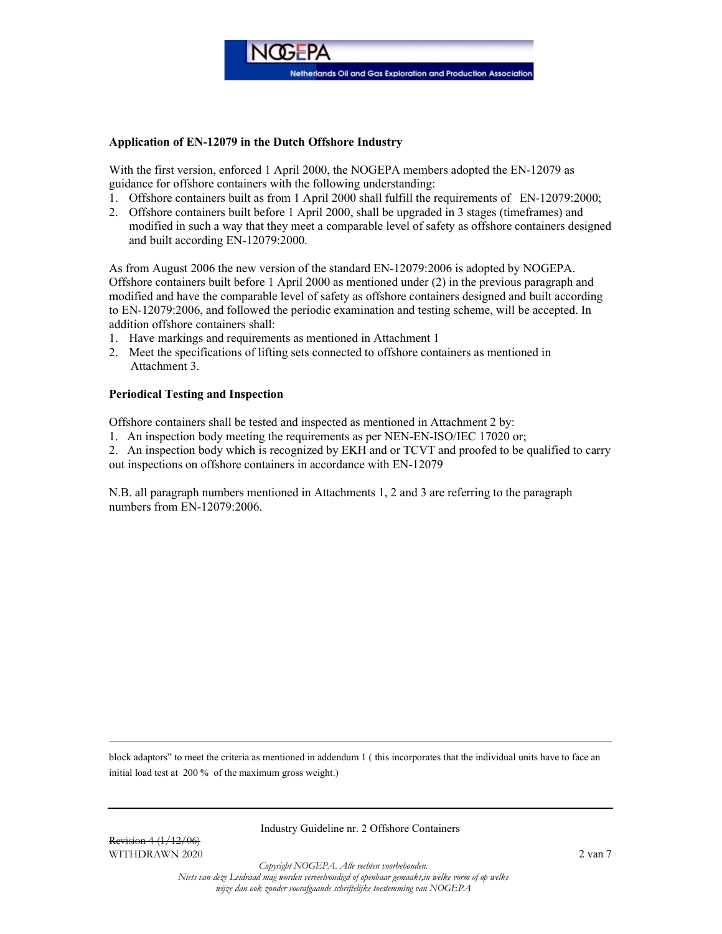

## Application of EN-12079 in the Dutch Offshore Industry

With the first version, enforced 1 April 2000, the NOGEPA members adopted the EN-12079 as guidance for offshore containers with the following understanding:

- 1. Offshore containers built as from 1 April 2000 shall fulfill the requirements of EN-12079:2000;
- 2. Offshore containers built before 1 April 2000, shall be upgraded in 3 stages (timeframes) and modified in such a way that they meet a comparable level of safety as offshore containers designed and built according EN-12079:2000.

As from August 2006 the new version of the standard EN-12079:2006 is adopted by NOGEPA. Offshore containers built before 1 April 2000 as mentioned under (2) in the previous paragraph and modified and have the comparable level of safety as offshore containers designed and built according to EN-12079:2006, and followed the periodic examination and testing scheme, will be accepted. In addition offshore containers shall:

- 1. Have markings and requirements as mentioned in Attachment 1
- 2. Meet the specifications of lifting sets connected to offshore containers as mentioned in Attachment 3.

#### Periodical Testing and Inspection

Offshore containers shall be tested and inspected as mentioned in Attachment 2 by:

1. An inspection body meeting the requirements as per NEN-EN-ISO/IEC 17020 or;

2. An inspection body which is recognized by EKH and or TCVT and proofed to be qualified to carry out inspections on offshore containers in accordance with EN-12079

N.B. all paragraph numbers mentioned in Attachments 1, 2 and 3 are referring to the paragraph numbers from EN-12079:2006.

block adaptors" to meet the criteria as mentioned in addendum 1 ( this incorporates that the individual units have to face an initial load test at 200 % of the maximum gross weight.)

Industry Guideline nr. 2 Offshore Containers

Revision 4 (1/12/06) WITHDRAWN 2020 2 van 7

Copyright NOGEPA. Alle rechten voorbehouden.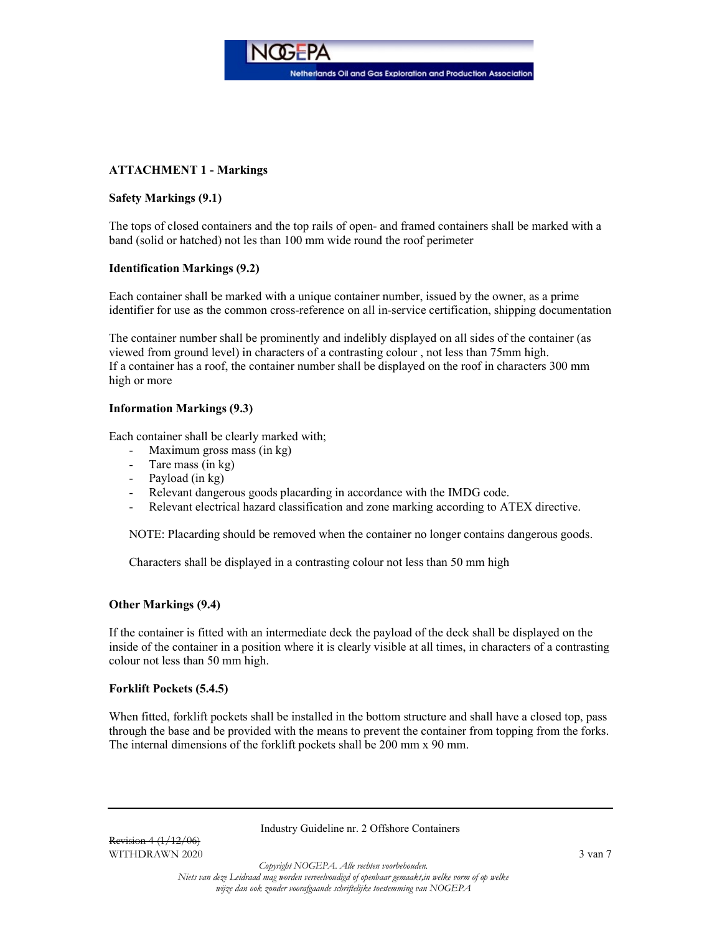Netherlands Oil and Gas Exploration and Production Association

# ATTACHMENT 1 - Markings

# Safety Markings (9.1)

The tops of closed containers and the top rails of open- and framed containers shall be marked with a band (solid or hatched) not les than 100 mm wide round the roof perimeter

**NOGFPA** 

# Identification Markings (9.2)

Each container shall be marked with a unique container number, issued by the owner, as a prime identifier for use as the common cross-reference on all in-service certification, shipping documentation

The container number shall be prominently and indelibly displayed on all sides of the container (as viewed from ground level) in characters of a contrasting colour , not less than 75mm high. If a container has a roof, the container number shall be displayed on the roof in characters 300 mm high or more

# Information Markings (9.3)

Each container shall be clearly marked with;

- Maximum gross mass (in kg)
- Tare mass (in kg)
- Payload (in kg)
- Relevant dangerous goods placarding in accordance with the IMDG code.
- Relevant electrical hazard classification and zone marking according to ATEX directive.

NOTE: Placarding should be removed when the container no longer contains dangerous goods.

Characters shall be displayed in a contrasting colour not less than 50 mm high

## Other Markings (9.4)

If the container is fitted with an intermediate deck the payload of the deck shall be displayed on the inside of the container in a position where it is clearly visible at all times, in characters of a contrasting colour not less than 50 mm high.

#### Forklift Pockets (5.4.5)

When fitted, for klift pockets shall be installed in the bottom structure and shall have a closed top, pass through the base and be provided with the means to prevent the container from topping from the forks. The internal dimensions of the forklift pockets shall be 200 mm x 90 mm.

Industry Guideline nr. 2 Offshore Containers

Copyright NOGEPA. Alle rechten voorbehouden.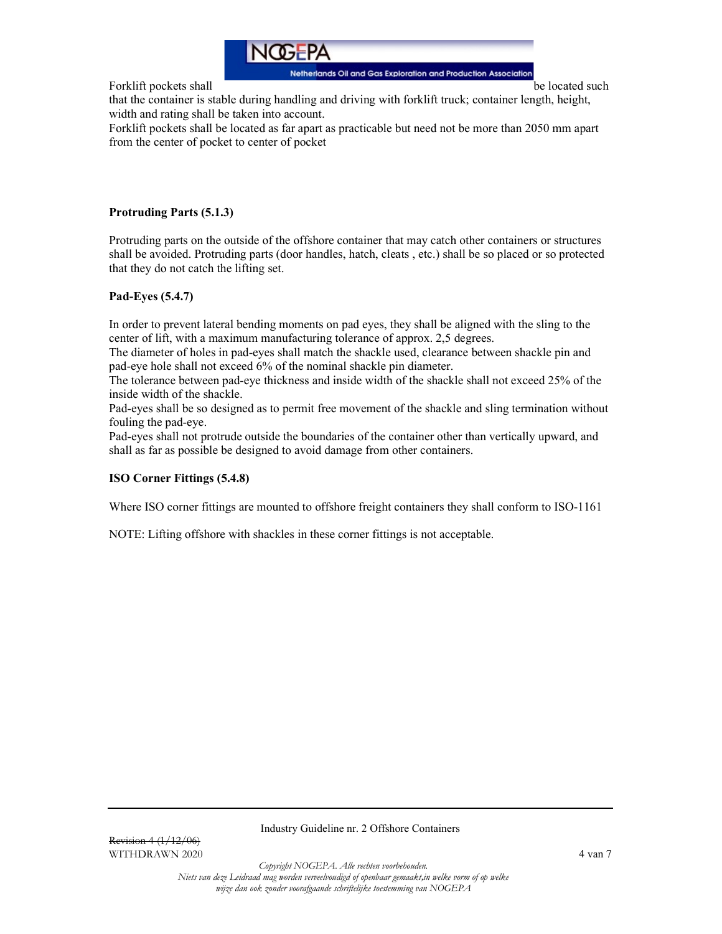

Forklift pockets shall be located such be located such a position of the located such a position of the located such a position of the located such a position of the located such a position of the located such a position o

that the container is stable during handling and driving with forklift truck; container length, height, width and rating shall be taken into account.

Forklift pockets shall be located as far apart as practicable but need not be more than 2050 mm apart from the center of pocket to center of pocket

# Protruding Parts (5.1.3)

Protruding parts on the outside of the offshore container that may catch other containers or structures shall be avoided. Protruding parts (door handles, hatch, cleats , etc.) shall be so placed or so protected that they do not catch the lifting set.

# Pad-Eyes (5.4.7)

In order to prevent lateral bending moments on pad eyes, they shall be aligned with the sling to the center of lift, with a maximum manufacturing tolerance of approx. 2,5 degrees.

The diameter of holes in pad-eyes shall match the shackle used, clearance between shackle pin and pad-eye hole shall not exceed 6% of the nominal shackle pin diameter.

The tolerance between pad-eye thickness and inside width of the shackle shall not exceed 25% of the inside width of the shackle.

Pad-eyes shall be so designed as to permit free movement of the shackle and sling termination without fouling the pad-eye.

Pad-eyes shall not protrude outside the boundaries of the container other than vertically upward, and shall as far as possible be designed to avoid damage from other containers.

## ISO Corner Fittings (5.4.8)

Where ISO corner fittings are mounted to offshore freight containers they shall conform to ISO-1161

NOTE: Lifting offshore with shackles in these corner fittings is not acceptable.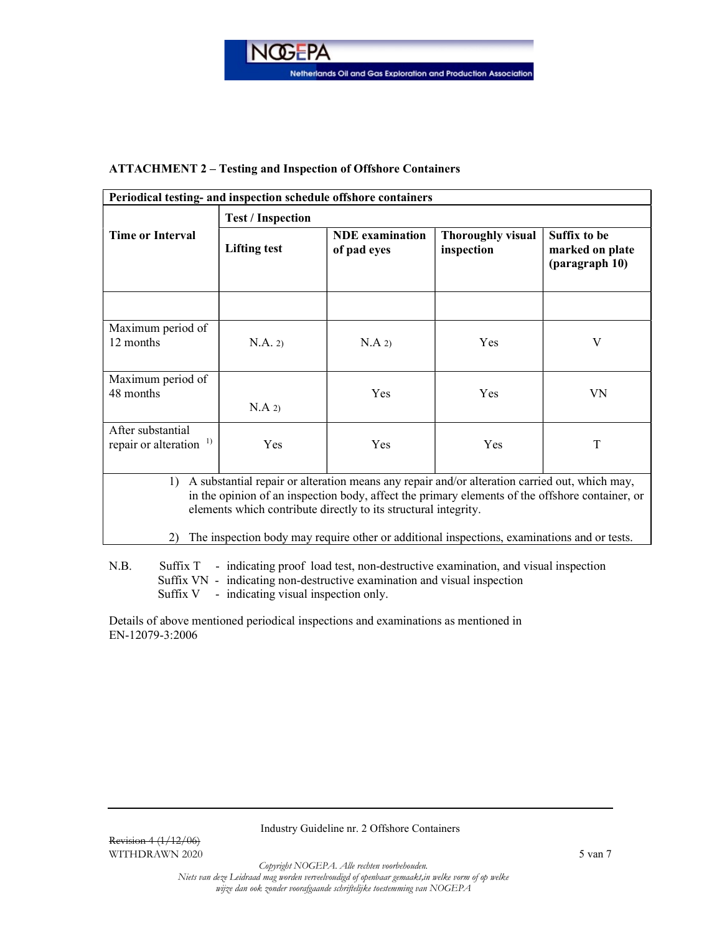

# ATTACHMENT 2 – Testing and Inspection of Offshore Containers

| Periodical testing- and inspection schedule offshore containers                                                                                                                                                                                                                                                                                                                              |                          |                                       |                                        |                                                          |  |  |  |  |
|----------------------------------------------------------------------------------------------------------------------------------------------------------------------------------------------------------------------------------------------------------------------------------------------------------------------------------------------------------------------------------------------|--------------------------|---------------------------------------|----------------------------------------|----------------------------------------------------------|--|--|--|--|
|                                                                                                                                                                                                                                                                                                                                                                                              | <b>Test / Inspection</b> |                                       |                                        |                                                          |  |  |  |  |
| <b>Time or Interval</b>                                                                                                                                                                                                                                                                                                                                                                      | <b>Lifting test</b>      | <b>NDE</b> examination<br>of pad eyes | <b>Thoroughly visual</b><br>inspection | <b>Suffix to be</b><br>marked on plate<br>(paragraph 10) |  |  |  |  |
|                                                                                                                                                                                                                                                                                                                                                                                              |                          |                                       |                                        |                                                          |  |  |  |  |
| Maximum period of<br>12 months                                                                                                                                                                                                                                                                                                                                                               | N.A. 2)                  | $N.A$ 2)                              | Yes                                    | V                                                        |  |  |  |  |
| Maximum period of<br>48 months                                                                                                                                                                                                                                                                                                                                                               | $N.A$ 2)                 | Yes                                   | Yes                                    | VN                                                       |  |  |  |  |
| After substantial<br>repair or alteration <sup>1)</sup>                                                                                                                                                                                                                                                                                                                                      | Yes                      | Yes                                   | Yes                                    | T                                                        |  |  |  |  |
| A substantial repair or alteration means any repair and/or alteration carried out, which may,<br>$\left( \right)$<br>in the opinion of an inspection body, affect the primary elements of the offshore container, or<br>elements which contribute directly to its structural integrity.<br>The inspection body may require other or additional inspections, examinations and or tests.<br>2) |                          |                                       |                                        |                                                          |  |  |  |  |
| N.B.<br>Suffix T<br>- indicating proof load test, non-destructive examination, and visual inspection                                                                                                                                                                                                                                                                                         |                          |                                       |                                        |                                                          |  |  |  |  |

Suffix VN - indicating non-destructive examination and visual inspection

Suffix V - indicating visual inspection only.

Details of above mentioned periodical inspections and examinations as mentioned in EN-12079-3:2006

Industry Guideline nr. 2 Offshore Containers

Copyright NOGEPA. Alle rechten voorbehouden.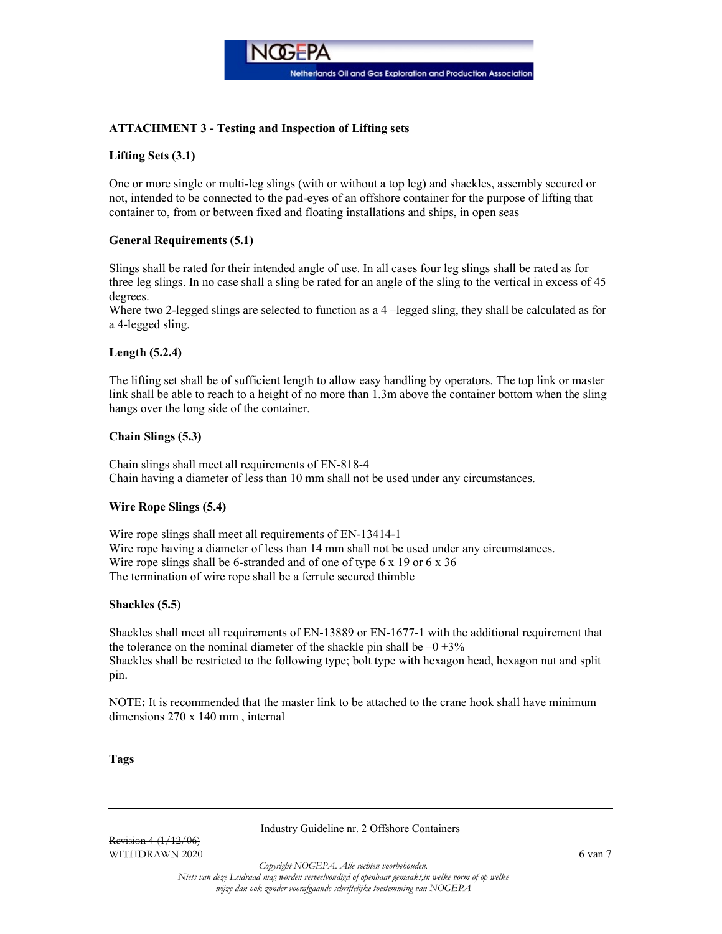

# ATTACHMENT 3 - Testing and Inspection of Lifting sets

# Lifting Sets (3.1)

One or more single or multi-leg slings (with or without a top leg) and shackles, assembly secured or not, intended to be connected to the pad-eyes of an offshore container for the purpose of lifting that container to, from or between fixed and floating installations and ships, in open seas

# General Requirements (5.1)

Slings shall be rated for their intended angle of use. In all cases four leg slings shall be rated as for three leg slings. In no case shall a sling be rated for an angle of the sling to the vertical in excess of 45 degrees.

Where two 2-legged slings are selected to function as a 4 –legged sling, they shall be calculated as for a 4-legged sling.

## Length (5.2.4)

The lifting set shall be of sufficient length to allow easy handling by operators. The top link or master link shall be able to reach to a height of no more than 1.3m above the container bottom when the sling hangs over the long side of the container.

## Chain Slings (5.3)

Chain slings shall meet all requirements of EN-818-4 Chain having a diameter of less than 10 mm shall not be used under any circumstances.

## Wire Rope Slings (5.4)

Wire rope slings shall meet all requirements of EN-13414-1 Wire rope having a diameter of less than 14 mm shall not be used under any circumstances. Wire rope slings shall be 6-stranded and of one of type 6 x 19 or 6 x 36 The termination of wire rope shall be a ferrule secured thimble

## Shackles (5.5)

Shackles shall meet all requirements of EN-13889 or EN-1677-1 with the additional requirement that the tolerance on the nominal diameter of the shackle pin shall be  $-0 + 3\%$ Shackles shall be restricted to the following type; bolt type with hexagon head, hexagon nut and split pin.

NOTE: It is recommended that the master link to be attached to the crane hook shall have minimum dimensions 270 x 140 mm , internal

#### Tags

#### Industry Guideline nr. 2 Offshore Containers

Revision 4 (1/12/06) WITHDRAWN 2020  $\qquad 6 \text{ van } 7$ 

Copyright NOGEPA. Alle rechten voorbehouden.